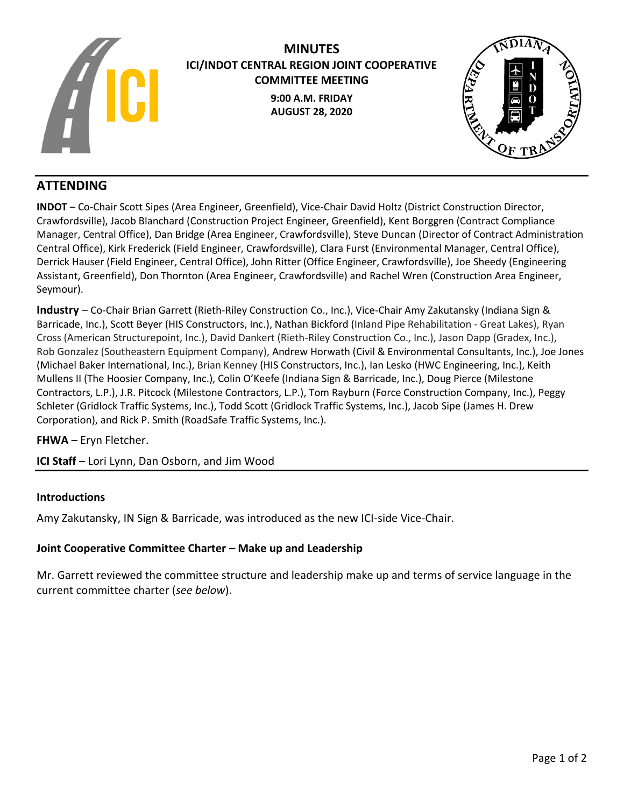

# **MINUTES ICI/INDOT CENTRAL REGION JOINT COOPERATIVE COMMITTEE MEETING 9:00 A.M. FRIDAY AUGUST 28, 2020**



# **ATTENDING**

**INDOT** – Co-Chair Scott Sipes (Area Engineer, Greenfield), Vice-Chair David Holtz (District Construction Director, Crawfordsville), Jacob Blanchard (Construction Project Engineer, Greenfield), Kent Borggren (Contract Compliance Manager, Central Office), Dan Bridge (Area Engineer, Crawfordsville), Steve Duncan (Director of Contract Administration Central Office), Kirk Frederick (Field Engineer, Crawfordsville), Clara Furst (Environmental Manager, Central Office), Derrick Hauser (Field Engineer, Central Office), John Ritter (Office Engineer, Crawfordsville), Joe Sheedy (Engineering Assistant, Greenfield), Don Thornton (Area Engineer, Crawfordsville) and Rachel Wren (Construction Area Engineer, Seymour).

**Industry** – Co-Chair Brian Garrett (Rieth-Riley Construction Co., Inc.), Vice-Chair Amy Zakutansky (Indiana Sign & Barricade, Inc.), Scott Beyer (HIS Constructors, Inc.), Nathan Bickford (Inland Pipe Rehabilitation - Great Lakes), Ryan Cross (American Structurepoint, Inc.), David Dankert (Rieth-Riley Construction Co., Inc.), Jason Dapp (Gradex, Inc.), Rob Gonzalez (Southeastern Equipment Company), Andrew Horwath (Civil & Environmental Consultants, Inc.), Joe Jones (Michael Baker International, Inc.), Brian Kenney (HIS Constructors, Inc.), Ian Lesko (HWC Engineering, Inc.), Keith Mullens II (The Hoosier Company, Inc.), Colin O'Keefe (Indiana Sign & Barricade, Inc.), Doug Pierce (Milestone Contractors, L.P.), J.R. Pitcock (Milestone Contractors, L.P.), Tom Rayburn (Force Construction Company, Inc.), Peggy Schleter (Gridlock Traffic Systems, Inc.), Todd Scott (Gridlock Traffic Systems, Inc.), Jacob Sipe (James H. Drew Corporation), and Rick P. Smith (RoadSafe Traffic Systems, Inc.).

# **FHWA** – Eryn Fletcher.

**ICI Staff** – Lori Lynn, Dan Osborn, and Jim Wood

#### **Introductions**

Amy Zakutansky, IN Sign & Barricade, was introduced as the new ICI-side Vice-Chair.

#### **Joint Cooperative Committee Charter – Make up and Leadership**

Mr. Garrett reviewed the committee structure and leadership make up and terms of service language in the current committee charter (*see below*).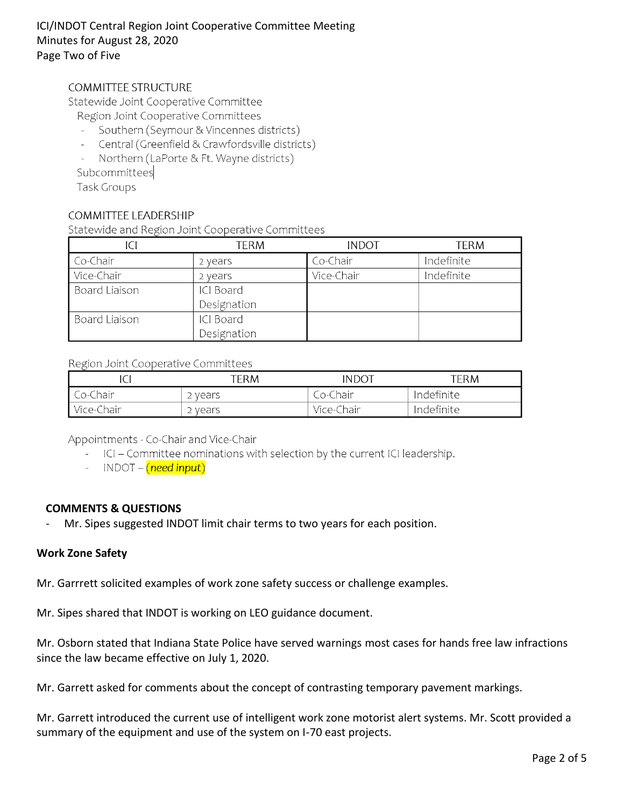# ICI/INDOT Central Region Joint Cooperative Committee Meeting Minutes for August 28, 2020 Page Two of Five

# **COMMITTEE STRUCTURE**

Statewide Joint Cooperative Committee

- Region Joint Cooperative Committees
- Southern (Seymour & Vincennes districts)
- Central (Greenfield & Crawfordsville districts)  $\mathcal{L}^{\text{max}}$
- Northern (LaPorte & Ft. Wayne districts)  $\omega_{\rm{eff}}$

Subcommittees

Task Groups

#### **COMMITTEE LEADERSHIP**

Statewide and Region Joint Cooperative Committees

| ICI           | <b>TERM</b> | <b>INDOT</b> | <b>TERM</b> |
|---------------|-------------|--------------|-------------|
| Co-Chair      | 2 years     | Co-Chair     | Indefinite  |
| Vice-Chair    | 2 years     | Vice-Chair   | Indefinite  |
| Board Liaison | ICI Board   |              |             |
|               | Designation |              |             |
| Board Liaison | ICI Board   |              |             |
|               | Designation |              |             |

#### Region Joint Cooperative Committees

|            | term    | INDOT      | term.      |
|------------|---------|------------|------------|
| Co-Chair   | 2 vears | _o-Chair   | Indefinite |
| Vice-Chair | years י | Vice-Chair | Indefinite |

Appointments - Co-Chair and Vice-Chair

- ICI Committee nominations with selection by the current ICI leadership.
- INDOT (need input)

#### **COMMENTS & QUESTIONS**

Mr. Sipes suggested INDOT limit chair terms to two years for each position.

#### **Work Zone Safety**

Mr. Garrrett solicited examples of work zone safety success or challenge examples.

Mr. Sipes shared that INDOT is working on LEO guidance document.

Mr. Osborn stated that Indiana State Police have served warnings most cases for hands free law infractions since the law became effective on July 1, 2020.

Mr. Garrett asked for comments about the concept of contrasting temporary pavement markings.

Mr. Garrett introduced the current use of intelligent work zone motorist alert systems. Mr. Scott provided a summary of the equipment and use of the system on I-70 east projects.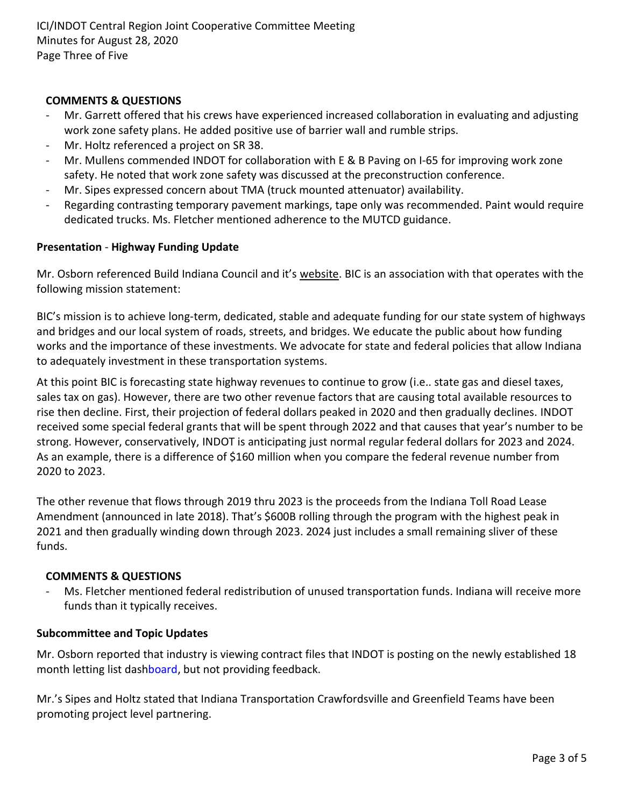# **COMMENTS & QUESTIONS**

- Mr. Garrett offered that his crews have experienced increased collaboration in evaluating and adjusting work zone safety plans. He added positive use of barrier wall and rumble strips.
- Mr. Holtz referenced a project on SR 38.
- Mr. Mullens commended INDOT for collaboration with E & B Paving on I-65 for improving work zone safety. He noted that work zone safety was discussed at the preconstruction conference.
- Mr. Sipes expressed concern about TMA (truck mounted attenuator) availability.
- Regarding contrasting temporary pavement markings, tape only was recommended. Paint would require dedicated trucks. Ms. Fletcher mentioned adherence to the MUTCD guidance.

## **Presentation** - **Highway Funding Update**

Mr. Osborn referenced Build Indiana Council and it's [website.](https://buildindianacouncil.org/) BIC is an association with that operates with the following mission statement:

BIC's mission is to achieve long-term, dedicated, stable and adequate funding for our state system of highways and bridges and our local system of roads, streets, and bridges. We educate the public about how funding works and the importance of these investments. We advocate for state and federal policies that allow Indiana to adequately investment in these transportation systems.

At this point BIC is forecasting state highway revenues to continue to grow (i.e.. state gas and diesel taxes, sales tax on gas). However, there are two other revenue factors that are causing total available resources to rise then decline. First, their projection of federal dollars peaked in 2020 and then gradually declines. INDOT received some special federal grants that will be spent through 2022 and that causes that year's number to be strong. However, conservatively, INDOT is anticipating just normal regular federal dollars for 2023 and 2024. As an example, there is a difference of \$160 million when you compare the federal revenue number from 2020 to 2023.

The other revenue that flows through 2019 thru 2023 is the proceeds from the Indiana Toll Road Lease Amendment (announced in late 2018). That's \$600B rolling through the program with the highest peak in 2021 and then gradually winding down through 2023. 2024 just includes a small remaining sliver of these funds.

#### **COMMENTS & QUESTIONS**

- Ms. Fletcher mentioned federal redistribution of unused transportation funds. Indiana will receive more funds than it typically receives.

#### **Subcommittee and Topic Updates**

Mr. Osborn reported that industry is viewing contract files that INDOT is posting on the newly established 18 month letting list das[hboard,](https://entapps.indot.in.gov/lettings/Dashboard) but not providing feedback.

Mr.'s Sipes and Holtz stated that Indiana Transportation Crawfordsville and Greenfield Teams have been promoting project level partnering.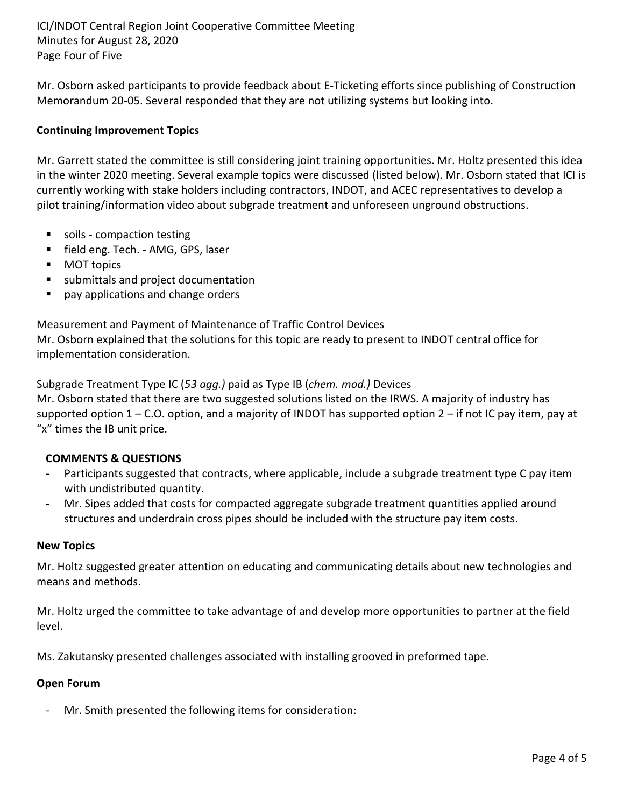ICI/INDOT Central Region Joint Cooperative Committee Meeting Minutes for August 28, 2020 Page Four of Five

Mr. Osborn asked participants to provide feedback about E-Ticketing efforts since publishing of Construction Memorandum 20-05. Several responded that they are not utilizing systems but looking into.

## **Continuing Improvement Topics**

Mr. Garrett stated the committee is still considering joint training opportunities. Mr. Holtz presented this idea in the winter 2020 meeting. Several example topics were discussed (listed below). Mr. Osborn stated that ICI is currently working with stake holders including contractors, INDOT, and ACEC representatives to develop a pilot training/information video about subgrade treatment and unforeseen unground obstructions.

- soils compaction testing
- field eng. Tech. AMG, GPS, laser
- **MOT topics**
- submittals and project documentation
- pay applications and change orders

Measurement and Payment of Maintenance of Traffic Control Devices Mr. Osborn explained that the solutions for this topic are ready to present to INDOT central office for implementation consideration.

Subgrade Treatment Type IC (*53 agg.)* paid as Type IB (*chem. mod.)* Devices Mr. Osborn stated that there are two suggested solutions listed on the IRWS. A majority of industry has supported option 1 – C.O. option, and a majority of INDOT has supported option 2 – if not IC pay item, pay at

# "x" times the IB unit price.

#### **COMMENTS & QUESTIONS**

- Participants suggested that contracts, where applicable, include a subgrade treatment type C pay item with undistributed quantity.
- Mr. Sipes added that costs for compacted aggregate subgrade treatment quantities applied around structures and underdrain cross pipes should be included with the structure pay item costs.

#### **New Topics**

Mr. Holtz suggested greater attention on educating and communicating details about new technologies and means and methods.

Mr. Holtz urged the committee to take advantage of and develop more opportunities to partner at the field level.

Ms. Zakutansky presented challenges associated with installing grooved in preformed tape.

#### **Open Forum**

- Mr. Smith presented the following items for consideration: